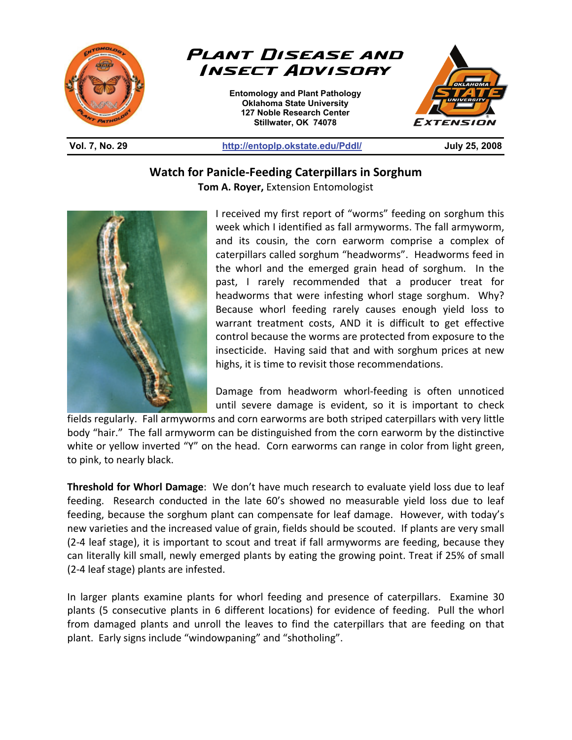

**Watch for Panicle-Feeding Caterpillars in Sorghum Tom A. Royer,** Extension Entomologist



I received my first report of "worms" feeding on sorghum this week which I identified as fall armyworms. The fall armyworm, and its cousin, the corn earworm comprise a complex of caterpillars called sorghum "headworms". Headworms feed in the whorl and the emerged grain head of sorghum. In the past, I rarely recommended that a producer treat for headworms that were infesting whorl stage sorghum. Why? Because whorl feeding rarely causes enough yield loss to warrant treatment costs, AND it is difficult to get effective control because the worms are protected from exposure to the insecticide. Having said that and with sorghum prices at new highs, it is time to revisit those recommendations.

Damage from headworm whorl-feeding is often unnoticed until severe damage is evident, so it is important to check

fields regularly. Fall armyworms and corn earworms are both striped caterpillars with very little body "hair." The fall armyworm can be distinguished from the corn earworm by the distinctive white or yellow inverted "Y" on the head. Corn earworms can range in color from light green, to pink, to nearly black.

**Threshold for Whorl Damage**: We don't have much research to evaluate yield loss due to leaf feeding. Research conducted in the late 60's showed no measurable yield loss due to leaf feeding, because the sorghum plant can compensate for leaf damage. However, with today's new varieties and the increased value of grain, fields should be scouted. If plants are very small (2-4 leaf stage), it is important to scout and treat if fall armyworms are feeding, because they can literally kill small, newly emerged plants by eating the growing point. Treat if 25% of small (2-4 leaf stage) plants are infested.

In larger plants examine plants for whorl feeding and presence of caterpillars. Examine 30 plants (5 consecutive plants in 6 different locations) for evidence of feeding. Pull the whorl from damaged plants and unroll the leaves to find the caterpillars that are feeding on that plant. Early signs include "windowpaning" and "shotholing".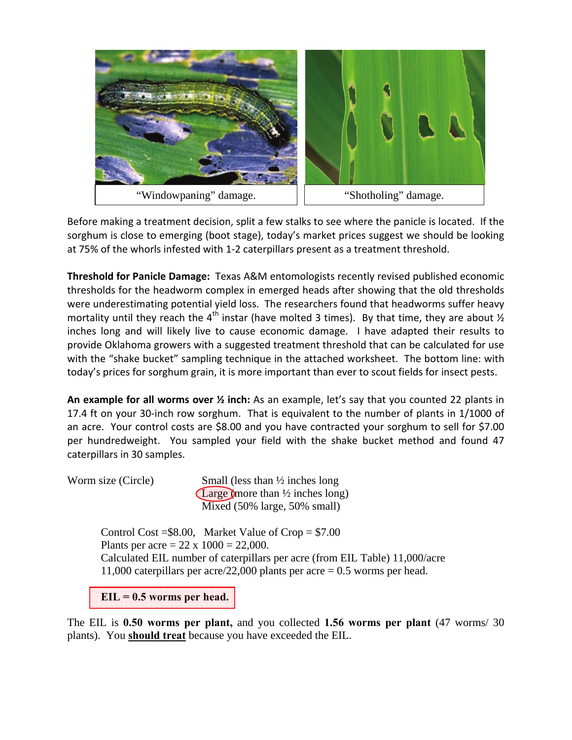

Before making a treatment decision, split a few stalks to see where the panicle is located. If the sorghum is close to emerging (boot stage), today's market prices suggest we should be looking at 75% of the whorls infested with 1-2 caterpillars present as a treatment threshold.

**Threshold for Panicle Damage:** Texas A&M entomologists recently revised published economic thresholds for the headworm complex in emerged heads after showing that the old thresholds were underestimating potential yield loss. The researchers found that headworms suffer heavy mortality until they reach the 4<sup>th</sup> instar (have molted 3 times). By that time, they are about  $\frac{1}{2}$ inches long and will likely live to cause economic damage. I have adapted their results to provide Oklahoma growers with a suggested treatment threshold that can be calculated for use with the "shake bucket" sampling technique in the attached worksheet. The bottom line: with today's prices for sorghum grain, it is more important than ever to scout fields for insect pests.

**An example for all worms over ½ inch:** As an example, let's say that you counted 22 plants in 17.4 ft on your 30-inch row sorghum. That is equivalent to the number of plants in 1/1000 of an acre. Your control costs are \$8.00 and you have contracted your sorghum to sell for \$7.00 per hundredweight. You sampled your field with the shake bucket method and found 47 caterpillars in 30 samples.

Worm size (Circle) Small (less than  $\frac{1}{2}$  inches long Large (more than ½ inches long) Mixed (50% large, 50% small)

> Control Cost =  $$8.00$ , Market Value of Crop =  $$7.00$ Plants per acre =  $22 \times 1000 = 22,000$ . Calculated EIL number of caterpillars per acre (from EIL Table) 11,000/acre 11,000 caterpillars per acre/22,000 plants per acre  $= 0.5$  worms per head.

**EIL = 0.5 worms per head.** 

The EIL is **0.50 worms per plant,** and you collected **1.56 worms per plant** (47 worms/ 30 plants). You **should treat** because you have exceeded the EIL.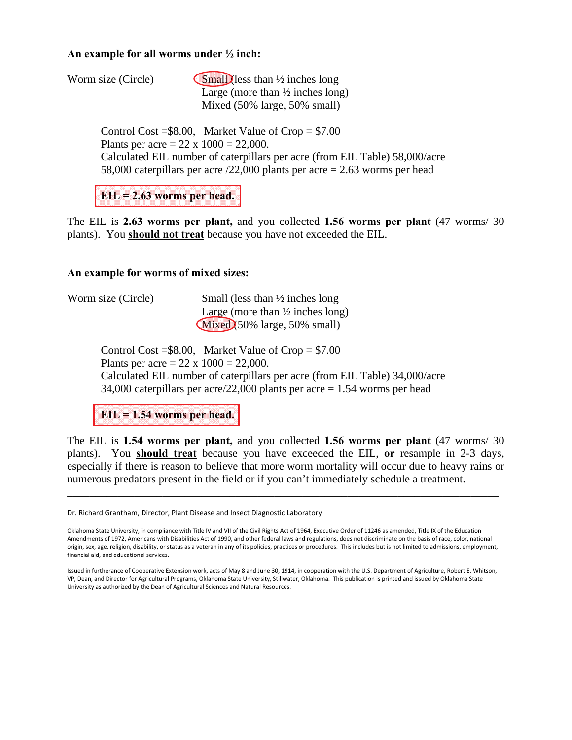## **An example for all worms under ½ inch:**

| Worm size (Circle) | $\mathsf{Small}$ less than $\frac{1}{2}$ inches long |
|--------------------|------------------------------------------------------|
|                    | Large (more than $\frac{1}{2}$ inches long)          |
|                    | Mixed (50% large, 50% small)                         |

Control Cost =  $$8.00$ , Market Value of Crop =  $$7.00$ Plants per acre =  $22 \times 1000 = 22,000$ . Calculated EIL number of caterpillars per acre (from EIL Table) 58,000/acre 58,000 caterpillars per acre /22,000 plants per acre = 2.63 worms per head

**EIL = 2.63 worms per head.** 

The EIL is **2.63 worms per plant,** and you collected **1.56 worms per plant** (47 worms/ 30 plants). You **should not treat** because you have not exceeded the EIL.

## **An example for worms of mixed sizes:**

| Worm size (Circle) | Small (less than $\frac{1}{2}$ inches long  |
|--------------------|---------------------------------------------|
|                    | Large (more than $\frac{1}{2}$ inches long) |
|                    | $Mixed$ (50% large, 50% small)              |

Control Cost =  $$8.00$ , Market Value of Crop =  $$7.00$ Plants per acre =  $22 \times 1000 = 22,000$ . Calculated EIL number of caterpillars per acre (from EIL Table) 34,000/acre 34,000 caterpillars per acre/22,000 plants per acre  $= 1.54$  worms per head

**EIL = 1.54 worms per head.** 

The EIL is **1.54 worms per plant,** and you collected **1.56 worms per plant** (47 worms/ 30 plants). You **should treat** because you have exceeded the EIL, **or** resample in 2-3 days, especially if there is reason to believe that more worm mortality will occur due to heavy rains or numerous predators present in the field or if you can't immediately schedule a treatment.

\_\_\_\_\_\_\_\_\_\_\_\_\_\_\_\_\_\_\_\_\_\_\_\_\_\_\_\_\_\_\_\_\_\_\_\_\_\_\_\_\_\_\_\_\_\_\_\_\_\_\_\_\_\_\_\_\_\_\_\_\_\_\_\_\_\_\_\_\_\_\_\_\_\_\_\_\_

Dr. Richard Grantham, Director, Plant Disease and Insect Diagnostic Laboratory

Oklahoma State University, in compliance with Title IV and VII of the Civil Rights Act of 1964, Executive Order of 11246 as amended, Title IX of the Education Amendments of 1972, Americans with Disabilities Act of 1990, and other federal laws and regulations, does not discriminate on the basis of race, color, national origin, sex, age, religion, disability, or status as a veteran in any of its policies, practices or procedures. This includes but is not limited to admissions, employment, financial aid, and educational services.

Issued in furtherance of Cooperative Extension work, acts of May 8 and June 30, 1914, in cooperation with the U.S. Department of Agriculture, Robert E. Whitson, VP, Dean, and Director for Agricultural Programs, Oklahoma State University, Stillwater, Oklahoma. This publication is printed and issued by Oklahoma State University as authorized by the Dean of Agricultural Sciences and Natural Resources.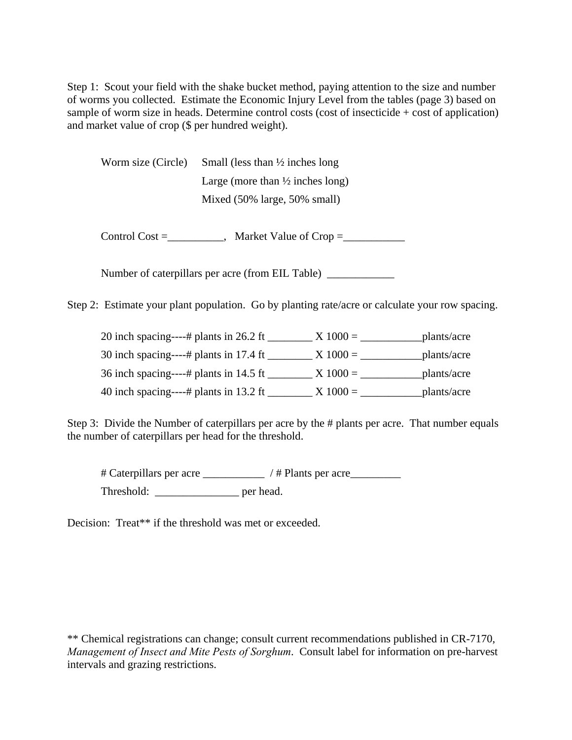Step 1: Scout your field with the shake bucket method, paying attention to the size and number of worms you collected. Estimate the Economic Injury Level from the tables (page 3) based on sample of worm size in heads. Determine control costs (cost of insecticide + cost of application) and market value of crop (\$ per hundred weight).

Worm size (Circle) Small (less than  $\frac{1}{2}$  inches long Large (more than  $\frac{1}{2}$  inches long) Mixed (50% large, 50% small)

Control  $Cost =$  Market Value of  $Crop =$ 

Number of caterpillars per acre (from EIL Table) \_\_\_\_\_\_\_\_\_\_\_\_\_\_\_\_\_\_\_\_\_\_\_\_\_\_\_\_\_\_\_\_

Step 2: Estimate your plant population. Go by planting rate/acre or calculate your row spacing.

| 20 inch spacing----# plants in 26.2 ft | $X$ 1000 = | plants/acre |
|----------------------------------------|------------|-------------|
| 30 inch spacing----# plants in 17.4 ft | $X 1000 =$ | plants/acre |
| 36 inch spacing----# plants in 14.5 ft | $X 1000 =$ | plants/acre |
| 40 inch spacing----# plants in 13.2 ft | $X 1000 =$ | plants/acre |

Step 3: Divide the Number of caterpillars per acre by the # plants per acre. That number equals the number of caterpillars per head for the threshold.

 # Caterpillars per acre \_\_\_\_\_\_\_\_\_\_\_ / # Plants per acre\_\_\_\_\_\_\_\_\_ Threshold: \_\_\_\_\_\_\_\_\_\_\_\_\_\_\_\_\_\_\_ per head.

Decision: Treat<sup>\*\*</sup> if the threshold was met or exceeded.

\*\* Chemical registrations can change; consult current recommendations published in CR-7170, *Management of Insect and Mite Pests of Sorghum*. Consult label for information on pre-harvest intervals and grazing restrictions.